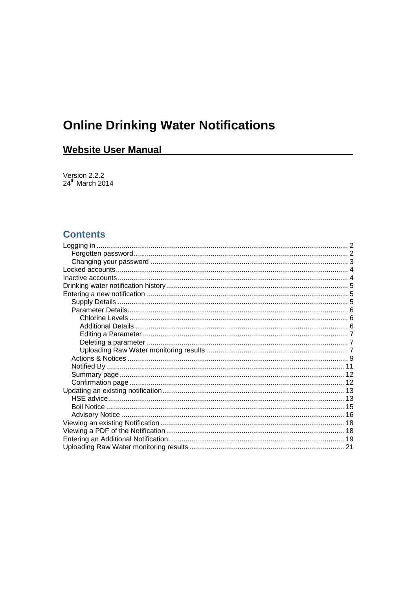# **Online Drinking Water Notifications**

# **Website User Manual**

Version 2.2.2<br>24<sup>th</sup> March 2014

# **Contents**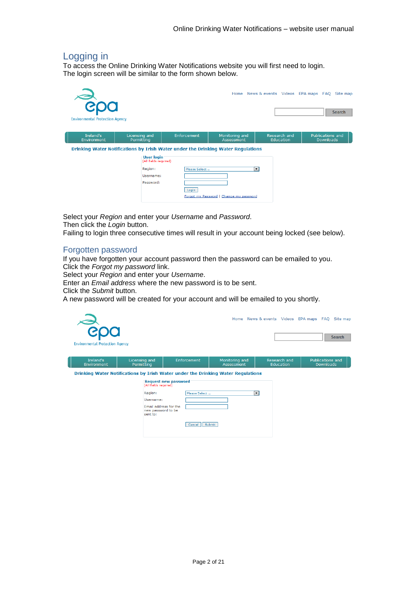# <span id="page-1-0"></span>Logging in

To access the Online Drinking Water Notifications website you will first need to login. The login screen will be similar to the form shown below.

| <b>Environmental Protection Agency</b>                                           |                             |                                     |               |                                         |                                  | Home News & events Videos EPA maps FAQ Site map<br><b>Search</b> |
|----------------------------------------------------------------------------------|-----------------------------|-------------------------------------|---------------|-----------------------------------------|----------------------------------|------------------------------------------------------------------|
| Ireland's<br><b>Environment</b>                                                  | Licensing and<br>Permitting |                                     | Enforcement   | Monitoring and<br>Assessment            | Research and<br><b>Education</b> | Publications and<br><b>Downloads</b>                             |
| Drinking Water Notifications by Irish Water under the Drinking Water Regulations |                             |                                     |               |                                         |                                  |                                                                  |
|                                                                                  |                             | User login<br>(All fields required) |               |                                         |                                  |                                                                  |
|                                                                                  |                             | Region:                             | Please Select |                                         | $\overline{\phantom{a}}$         |                                                                  |
|                                                                                  |                             | Username:                           |               |                                         |                                  |                                                                  |
|                                                                                  |                             | Password:                           | Login         |                                         |                                  |                                                                  |
|                                                                                  |                             |                                     |               | Forgot my Password   Change my password |                                  |                                                                  |

Select your *Region* and enter your *Username* and *Password*. Then click the *Login* button.

Failing to login three consecutive times will result in your account being locked (see below).

### <span id="page-1-1"></span>Forgotten password

If you have forgotten your account password then the password can be emailed to you. Click the *Forgot my password* link.

Select your *Region* and enter your *Username*.

Enter an *Email address* where the new password is to be sent.

Click the *Submit* button.

A new password will be created for your account and will be emailed to you shortly.

| $\frac{80}{3}$<br><b>Environmental Protection Agency</b> |                                                                      |                                                                                                                 |                              |                                  | Home News & events Videos EPA maps FAQ Site map<br><b>Search</b> |
|----------------------------------------------------------|----------------------------------------------------------------------|-----------------------------------------------------------------------------------------------------------------|------------------------------|----------------------------------|------------------------------------------------------------------|
| Ireland's<br>Environment                                 | Licensing and<br>Permitting                                          | Enforcement                                                                                                     | Monitoring and<br>Assessment | Research and<br><b>Education</b> | Publications and<br><b>Downloads</b>                             |
|                                                          | (All fields required)                                                | Drinking Water Notifications by Irish Water under the Drinking Water Regulations<br><b>Request new password</b> |                              |                                  |                                                                  |
|                                                          | Region:                                                              | Please Select                                                                                                   |                              | ۰                                |                                                                  |
|                                                          | Username:<br>Email address for the<br>new password to be<br>sent to: |                                                                                                                 |                              |                                  |                                                                  |
|                                                          |                                                                      | Cancel                                                                                                          | Submit                       |                                  |                                                                  |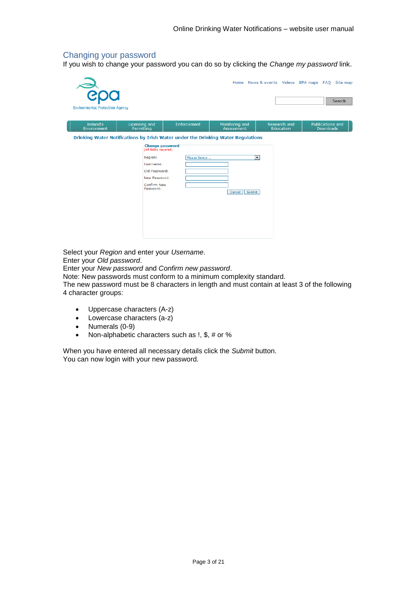### <span id="page-2-0"></span>Changing your password

If you wish to change your password you can do so by clicking the *Change my password* link.

| <b>Popo</b><br><b>Environmental Protection Agency</b> |                                                                                                                                       |               |                                          |                           | Home News & events Videos EPA maps FAQ Site map<br><b>Search</b> |
|-------------------------------------------------------|---------------------------------------------------------------------------------------------------------------------------------------|---------------|------------------------------------------|---------------------------|------------------------------------------------------------------|
| Ireland's<br>Environment                              | Licensing and<br>Permitting                                                                                                           | Enforcement   | Monitoring and<br>Assessment             | Research and<br>Education | Publications and<br><b>Downloads</b>                             |
|                                                       | <b>Change password</b><br>(All fields required)<br>Region:<br>Username:<br>Old Password:<br>New Password:<br>Confirm New<br>Password: | Please Select | $\blacktriangledown$<br>Submit<br>Cancel |                           |                                                                  |

Select your *Region* and enter your *Username*. Enter your *Old password*.

Enter your *New password* and *Confirm new password*.

Note: New passwords must conform to a minimum complexity standard.

The new password must be 8 characters in length and must contain at least 3 of the following 4 character groups:

- Uppercase characters (A-z)
- Lowercase characters (a-z)
- Numerals (0-9)
- Non-alphabetic characters such as !, \$, # or %

When you have entered all necessary details click the *Submit* button. You can now login with your new password.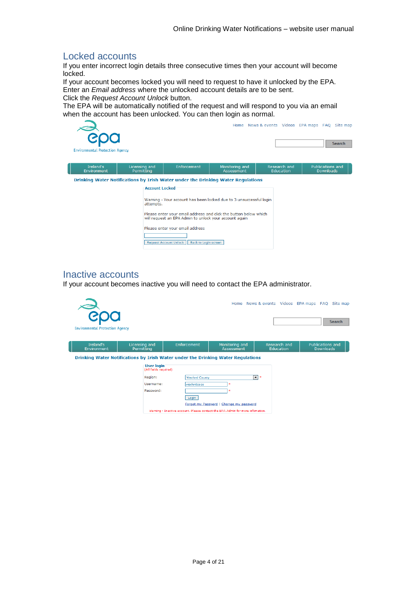# <span id="page-3-0"></span>Locked accounts

If you enter incorrect login details three consecutive times then your account will become locked.

If your account becomes locked you will need to request to have it unlocked by the EPA. Enter an *Email address* where the unlocked account details are to be sent.

Click the *Request Account Unlock* button.

The EPA will be automatically notified of the request and will respond to you via an email when the account has been unlocked. You can then login as normal.



# <span id="page-3-1"></span>Inactive accounts

If your account becomes inactive you will need to contact the EPA administrator.

| <b>Environmental Protection Agency</b> |                                            |                       |                                                                                                                          |                           | Home News & events Videos EPA maps FAQ Site map<br>Search |
|----------------------------------------|--------------------------------------------|-----------------------|--------------------------------------------------------------------------------------------------------------------------|---------------------------|-----------------------------------------------------------|
| Ireland's<br>Environment               | Licensing and<br>Permitting                | Enforcement           | Monitoring and<br>Assessment                                                                                             | Research and<br>Education | Publications and<br><b>Downloads</b>                      |
|                                        |                                            |                       | Drinking Water Notifications by Irish Water under the Drinking Water Regulations                                         |                           |                                                           |
|                                        | <b>User login</b><br>(All fields required) |                       |                                                                                                                          |                           |                                                           |
|                                        | Region:                                    | <b>Wexford County</b> |                                                                                                                          | ┳⊧                        |                                                           |
|                                        | Username:                                  | wexfordcoco           |                                                                                                                          |                           |                                                           |
|                                        | Password:                                  |                       | ×                                                                                                                        |                           |                                                           |
|                                        |                                            | Login                 |                                                                                                                          |                           |                                                           |
|                                        |                                            |                       | Forgot my Password   Change my password<br>Warning - Inactive account. Please contact the EPA Admin for more infomation. |                           |                                                           |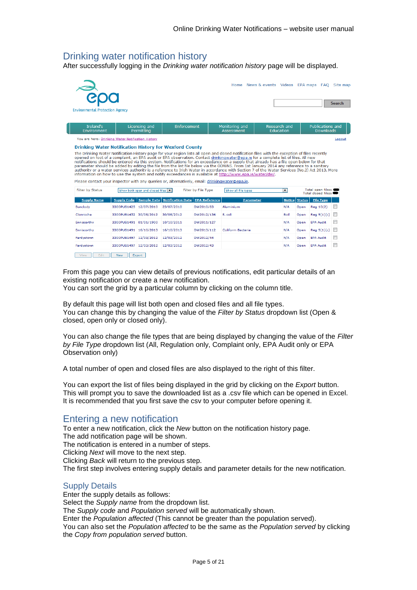# <span id="page-4-0"></span>Drinking water notification history

After successfully logging in the *Drinking water notification history* page will be displayed.

| <b>Environmental Protection Agency</b>                                                                             |                        |                                 |                          |                      |                                                                                                                                                                                                                                                                                                                                                                                                                                                                                                                                                                                                                                                                                                                                                                                                                                                                  | Home News & events Videos EPA maps FAQ Site map |                          |               |                                             | Search |
|--------------------------------------------------------------------------------------------------------------------|------------------------|---------------------------------|--------------------------|----------------------|------------------------------------------------------------------------------------------------------------------------------------------------------------------------------------------------------------------------------------------------------------------------------------------------------------------------------------------------------------------------------------------------------------------------------------------------------------------------------------------------------------------------------------------------------------------------------------------------------------------------------------------------------------------------------------------------------------------------------------------------------------------------------------------------------------------------------------------------------------------|-------------------------------------------------|--------------------------|---------------|---------------------------------------------|--------|
| Ireland's<br>Environment                                                                                           |                        | Licensing and<br>Permitting     | Enforcement              |                      | Monitoring and<br>Assessment                                                                                                                                                                                                                                                                                                                                                                                                                                                                                                                                                                                                                                                                                                                                                                                                                                     | Research and<br>Education                       |                          |               | <b>Publications and</b><br><b>Downloads</b> |        |
| You are here: Drinking Water Notification History                                                                  |                        |                                 |                          |                      |                                                                                                                                                                                                                                                                                                                                                                                                                                                                                                                                                                                                                                                                                                                                                                                                                                                                  |                                                 |                          |               |                                             | Logout |
| Please contact your inspector with any queries or, alternatively, email: drinkingwater@epa.ie.<br>Filter by Status |                        | Show both open and closed files |                          | Filter by File Type  | The Drinking Water Notification History page for your region lists all open and closed notification files with the exception of files recently<br>opened on foot of a complaint, an EPA audit or EPA observation. Contact drinkingwater@epa.ie for a complete list of files. All new<br>notifications should be entered via this system. Notifications for an exceedance on a supply that already has a file open below for that<br>parameter should be added by editing the file from the list file below via the ODWNS. From 1st January 2014 any reference to a sanitary<br>authority or a water services authority is a reference to Irish Water in accordance with Section 7 of the Water Services (No.2) Act 2013. More<br>information on how to use the system and notify exceedances is available at http://www.epa.ie/water/dw/.<br>Show all file types |                                                 | $\overline{\phantom{0}}$ |               | Total open files:<br>Total closed files:    |        |
| <b>Supply Name</b>                                                                                                 | <b>Supply Code</b>     | <b>Sample Date</b>              | <b>Notification Date</b> | <b>EPA Reference</b> | <b>Parameter</b>                                                                                                                                                                                                                                                                                                                                                                                                                                                                                                                                                                                                                                                                                                                                                                                                                                                 |                                                 | <b>Notice</b>            | <b>Status</b> | <b>File Type</b>                            |        |
| <b>Bunclody</b>                                                                                                    | 3300PUB1425 12/07/2010 |                                 | 23/07/2010               | DW2010/83            | Aluminium                                                                                                                                                                                                                                                                                                                                                                                                                                                                                                                                                                                                                                                                                                                                                                                                                                                        |                                                 | N/A                      | Open          | Reg 10(2)                                   |        |
| Clonroche                                                                                                          | 3300PUB1452 30/08/2012 |                                 | 30/08/2012               | DW2012/136           | E. coli                                                                                                                                                                                                                                                                                                                                                                                                                                                                                                                                                                                                                                                                                                                                                                                                                                                          |                                                 | Boil                     | Open          | Rea 9(1)(c)                                 |        |
| Enniscorthy                                                                                                        | 3300PUB1491 01/01/1900 |                                 | 10/10/2011               | DW2011/127           |                                                                                                                                                                                                                                                                                                                                                                                                                                                                                                                                                                                                                                                                                                                                                                                                                                                                  |                                                 | N/A                      | Open          | <b>EPA Audit</b>                            |        |
| Enniscorthy                                                                                                        | 3300PUB1491 16/10/2013 |                                 | 16/10/2013               | DW2013/112           | Coliform Bacteria                                                                                                                                                                                                                                                                                                                                                                                                                                                                                                                                                                                                                                                                                                                                                                                                                                                |                                                 | N/A                      | Open          | $Req$ $9(1)(c)$                             |        |
| Fardystown                                                                                                         | 3300PUB1497 12/03/2012 |                                 | 12/03/2012               | DW2012/44            |                                                                                                                                                                                                                                                                                                                                                                                                                                                                                                                                                                                                                                                                                                                                                                                                                                                                  |                                                 | N/A                      | Open          |                                             |        |
|                                                                                                                    |                        |                                 |                          |                      |                                                                                                                                                                                                                                                                                                                                                                                                                                                                                                                                                                                                                                                                                                                                                                                                                                                                  |                                                 |                          |               | <b>EPA Audit</b>                            |        |

View Edit New Export

From this page you can view details of previous notifications, edit particular details of an existing notification or create a new notification.

You can sort the grid by a particular column by clicking on the column title.

By default this page will list both open and closed files and all file types. You can change this by changing the value of the *Filter by Status* dropdown list (Open & closed, open only or closed only).

You can also change the file types that are being displayed by changing the value of the *Filter by File Type* dropdown list (All, Regulation only, Complaint only, EPA Audit only or EPA Observation only)

A total number of open and closed files are also displayed to the right of this filter.

You can export the list of files being displayed in the grid by clicking on the *Export* button. This will prompt you to save the downloaded list as a .csv file which can be opened in Excel. It is recommended that you first save the csv to your computer before opening it.

# <span id="page-4-1"></span>Entering a new notification

To enter a new notification, click the *New* button on the notification history page. The add notification page will be shown. The notification is entered in a number of steps. Clicking *Next* will move to the next step. Clicking *Back* will return to the previous step. The first step involves entering supply details and parameter details for the new notification.

### <span id="page-4-2"></span>Supply Details

Enter the supply details as follows: Select the *Supply name* from the dropdown list. The *Supply code* and *Population served* will be automatically shown. Enter the *Population affected* (This cannot be greater than the population served). You can also set the *Population affected* to be the same as the *Population served* by clicking the *Copy from population served* button.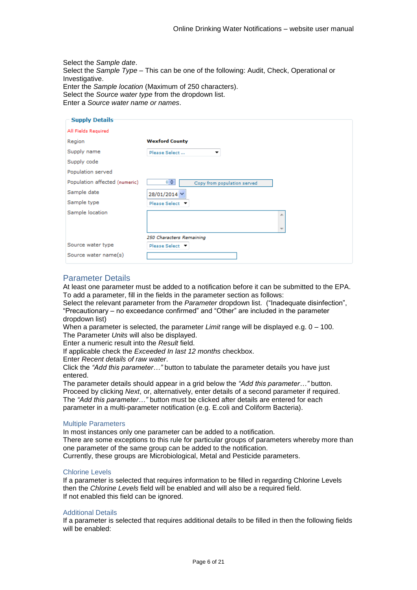Select the *Sample date*. Select the *Sample Type* – This can be one of the following: Audit, Check, Operational or Investigative. Enter the *Sample location* (Maximum of 250 characters). Select the *Source water type* from the dropdown list. Enter a *Source water name or names*.

| <b>Supply Details</b>         |                                   |
|-------------------------------|-----------------------------------|
| All Fields Required           |                                   |
| Region                        | <b>Wexford County</b>             |
| Supply name                   | Please Select<br>▼                |
| Supply code                   |                                   |
| Population served             |                                   |
| Population affected (numeric) | 이슈<br>Copy from population served |
| Sample date                   | 28/01/2014 V                      |
| Sample type                   | Please Select ▼                   |
| Sample location               |                                   |
|                               | 250 Characters Remaining          |
| Source water type             | Please Select ▼                   |
| Source water name(s)          |                                   |

### <span id="page-5-0"></span>Parameter Details

At least one parameter must be added to a notification before it can be submitted to the EPA. To add a parameter, fill in the fields in the parameter section as follows:

Select the relevant parameter from the *Parameter* dropdown list. ("Inadequate disinfection", "Precautionary – no exceedance confirmed" and "Other" are included in the parameter dropdown list)

When a parameter is selected, the parameter *Limit* range will be displayed e.g. 0 – 100. The Parameter *Units* will also be displayed.

Enter a numeric result into the *Result* field.

If applicable check the *Exceeded In last 12 months* checkbox.

Enter *Recent details of raw water*.

Click the *"Add this parameter…"* button to tabulate the parameter details you have just entered.

The parameter details should appear in a grid below the *"Add this parameter…"* button. Proceed by clicking *Next*, or, alternatively, enter details of a second parameter if required. The *"Add this parameter…"* button must be clicked after details are entered for each parameter in a multi-parameter notification (e.g. E.coli and Coliform Bacteria).

#### Multiple Parameters

In most instances only one parameter can be added to a notification.

There are some exceptions to this rule for particular groups of parameters whereby more than one parameter of the same group can be added to the notification.

Currently, these groups are Microbiological, Metal and Pesticide parameters.

#### <span id="page-5-1"></span>Chlorine Levels

If a parameter is selected that requires information to be filled in regarding Chlorine Levels then the *Chlorine Levels* field will be enabled and will also be a required field. If not enabled this field can be ignored.

#### <span id="page-5-2"></span>Additional Details

If a parameter is selected that requires additional details to be filled in then the following fields will be enabled: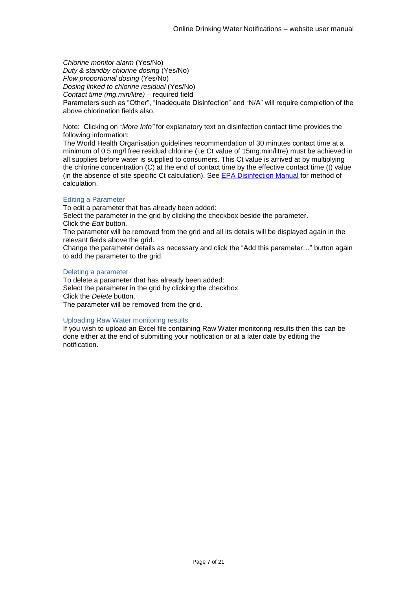*Chlorine monitor alarm* (Yes/No) *Duty & standby chlorine dosing* (Yes/No) *Flow proportional dosing* (Yes/No) *Dosing linked to chlorine residual* (Yes/No) *Contact time (mg.min/litre) –* required field Parameters such as "Other", "Inadequate Disinfection" and "N/A" will require completion of the above chlorination fields also.

Note: Clicking on *"More Info"* for explanatory text on disinfection contact time provides the following information:

The World Health Organisation guidelines recommendation of 30 minutes contact time at a minimum of 0.5 mg/l free residual chlorine (i.e Ct value of 15mg.min/litre) must be achieved in all supplies before water is supplied to consumers. This Ct value is arrived at by multiplying the chlorine concentration (C) at the end of contact time by the effective contact time (t) value (in the absence of site specific Ct calculation). See [EPA Disinfection Manual](http://www.epa.ie/pubs/advice/drinkingwater/watertreatmentmanualdisinfection.html) for method of calculation.

### <span id="page-6-0"></span>Editing a Parameter

To edit a parameter that has already been added:

Select the parameter in the grid by clicking the checkbox beside the parameter. Click the *Edit* button.

The parameter will be removed from the grid and all its details will be displayed again in the relevant fields above the grid.

Change the parameter details as necessary and click the "Add this parameter…" button again to add the parameter to the grid.

#### <span id="page-6-1"></span>Deleting a parameter

To delete a parameter that has already been added: Select the parameter in the grid by clicking the checkbox. Click the *Delete* button. The parameter will be removed from the grid.

### <span id="page-6-2"></span>Uploading Raw Water monitoring results

If you wish to upload an Excel file containing Raw Water monitoring results then this can be done either at the end of submitting your notification or at a later date by editing the notification.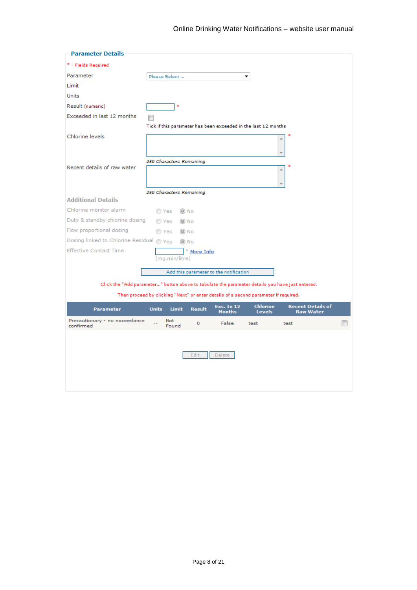| <b>Parameter Details</b>                   |                                                                                                                                                                  |  |
|--------------------------------------------|------------------------------------------------------------------------------------------------------------------------------------------------------------------|--|
| * - Fields Required                        |                                                                                                                                                                  |  |
| Parameter                                  | Please Select<br>▼                                                                                                                                               |  |
| Limit                                      |                                                                                                                                                                  |  |
| Units                                      |                                                                                                                                                                  |  |
| Result (numeric)                           | $\ast$                                                                                                                                                           |  |
| Exceeded in last 12 months                 |                                                                                                                                                                  |  |
|                                            | Tick if this parameter has been exceeded in the last 12 months                                                                                                   |  |
| Chlorine levels                            | ∸                                                                                                                                                                |  |
|                                            |                                                                                                                                                                  |  |
|                                            | 250 Characters Remaining                                                                                                                                         |  |
| Recent details of raw water                | ∸                                                                                                                                                                |  |
|                                            |                                                                                                                                                                  |  |
|                                            | 250 Characters Remaining                                                                                                                                         |  |
| <b>Additional Details</b>                  |                                                                                                                                                                  |  |
| Chlorine monitor alarm                     | ◉ No<br>◯ Yes                                                                                                                                                    |  |
| Duty & standby chlorine dosing             | ) No<br>◯ Yes                                                                                                                                                    |  |
| Flow proportional dosing                   | ) No<br>O Yes                                                                                                                                                    |  |
| Dosing linked to Chlorine Residual eyes    | () No                                                                                                                                                            |  |
| <b>Effective Contact Time</b>              | * More Info                                                                                                                                                      |  |
|                                            | (mg.min/litre)                                                                                                                                                   |  |
|                                            | Add this parameter to the notification                                                                                                                           |  |
|                                            | Click the "Add parameter " button above to tabulate the parameter details you have just entered.                                                                 |  |
|                                            | Then proceed by clicking "Next" or enter details of a second parameter if required.                                                                              |  |
| <b>Parameter</b>                           | <b>Chlorine</b><br><b>Recent Details of</b><br><b>Exc. In 12</b><br><b>Units</b><br><b>Limit</b><br><b>Result</b><br>Months<br><b>Levels</b><br><b>Raw Water</b> |  |
| Precautionary - no exceedance<br>confirmed | <b>Not</b><br>False<br>o<br>test<br>test<br>Found                                                                                                                |  |
|                                            |                                                                                                                                                                  |  |
|                                            |                                                                                                                                                                  |  |
|                                            | Edit<br>Delete                                                                                                                                                   |  |
|                                            |                                                                                                                                                                  |  |
|                                            |                                                                                                                                                                  |  |
|                                            |                                                                                                                                                                  |  |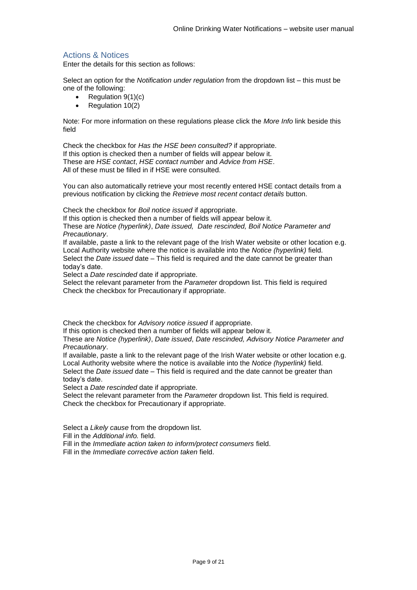# <span id="page-8-0"></span>Actions & Notices

Enter the details for this section as follows:

Select an option for the *Notification under regulation* from the dropdown list – this must be one of the following:

- Regulation  $9(1)(c)$
- $\bullet$  Regulation 10(2)

Note: For more information on these regulations please click the *More Info* link beside this field

Check the checkbox for *Has the HSE been consulted?* if appropriate. If this option is checked then a number of fields will appear below it. These are *HSE contact*, *HSE contact number* and *Advice from HSE*. All of these must be filled in if HSE were consulted.

You can also automatically retrieve your most recently entered HSE contact details from a previous notification by clicking the *Retrieve most recent contact details* button.

Check the checkbox for *Boil notice issued* if appropriate.

If this option is checked then a number of fields will appear below it.

These are *Notice (hyperlink)*, *Date issued, Date rescinded, Boil Notice Parameter and Precautionary*.

If available, paste a link to the relevant page of the Irish Water website or other location e.g. Local Authority website where the notice is available into the *Notice (hyperlink)* field. Select the *Date issued* date – This field is required and the date cannot be greater than today's date.

Select a *Date rescinded* date if appropriate.

Select the relevant parameter from the *Parameter* dropdown list. This field is required Check the checkbox for Precautionary if appropriate.

Check the checkbox for *Advisory notice issued* if appropriate.

If this option is checked then a number of fields will appear below it.

These are *Notice (hyperlink)*, *Date issued*, *Date rescinded, Advisory Notice Parameter and Precautionary*.

If available, paste a link to the relevant page of the Irish Water website or other location e.g. Local Authority website where the notice is available into the *Notice (hyperlink)* field.

Select the *Date issued* date – This field is required and the date cannot be greater than today's date.

Select a *Date rescinded* date if appropriate.

Select the relevant parameter from the *Parameter* dropdown list. This field is required. Check the checkbox for Precautionary if appropriate.

Select a *Likely cause* from the dropdown list.

Fill in the *Additional info.* field.

Fill in the *Immediate action taken to inform/protect consumers* field.

Fill in the *Immediate corrective action taken* field.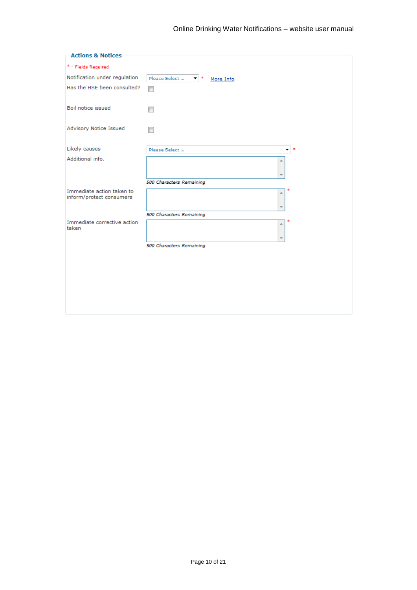| <b>Actions &amp; Notices</b>                          |                                   |
|-------------------------------------------------------|-----------------------------------|
| * - Fields Required                                   |                                   |
| Notification under regulation                         | Please Select<br>▼ *<br>More Info |
| Has the HSE been consulted?                           | $\overline{\phantom{a}}$          |
| Boil notice issued                                    |                                   |
| Advisory Notice Issued                                |                                   |
|                                                       |                                   |
| Likely causes                                         | Please Select<br>∣≉<br>▼          |
| Additional info.                                      | ×.                                |
|                                                       |                                   |
|                                                       | 500 Characters Remaining          |
| Immediate action taken to<br>inform/protect consumers | ×.                                |
|                                                       |                                   |
|                                                       | 500 Characters Remaining          |
| Immediate corrective action<br>taken                  | ×.                                |
|                                                       |                                   |
|                                                       | 500 Characters Remaining          |
|                                                       |                                   |
|                                                       |                                   |
|                                                       |                                   |
|                                                       |                                   |
|                                                       |                                   |
|                                                       |                                   |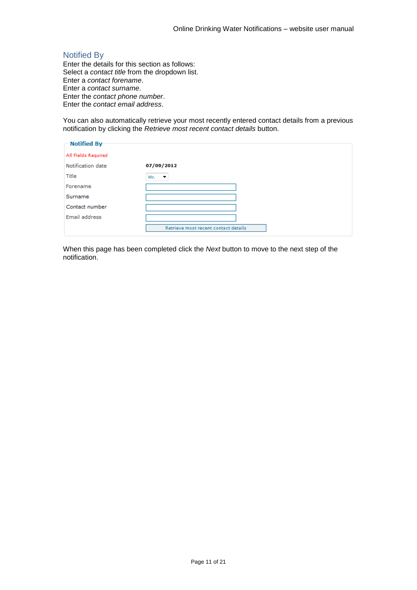# <span id="page-10-0"></span>Notified By

Enter the details for this section as follows: Select a *contact title* from the dropdown list. Enter a *contact forename*. Enter a *contact surname*. Enter the *contact phone number*. Enter the *contact email address*.

You can also automatically retrieve your most recently entered contact details from a previous notification by clicking the *Retrieve most recent contact details* button.

| <b>Notified By-</b> |                                      |
|---------------------|--------------------------------------|
| All Fields Required |                                      |
| Notification date   | 07/09/2012                           |
| Title               | Mr.<br>$\overline{\phantom{a}}$      |
| Forename            |                                      |
| Surname             |                                      |
| Contact number      |                                      |
| Email address       |                                      |
|                     | Retrieve most recent contact details |

When this page has been completed click the *Next* button to move to the next step of the notification.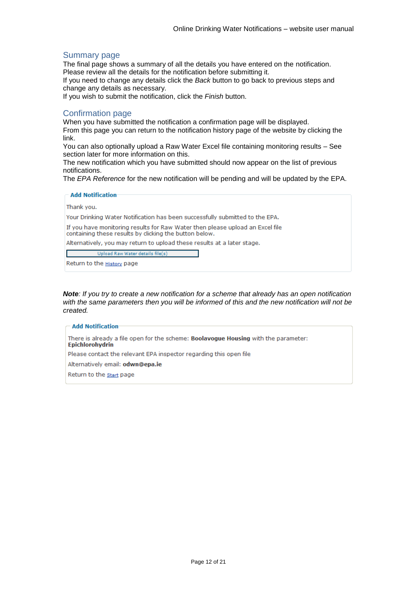### <span id="page-11-0"></span>Summary page

The final page shows a summary of all the details you have entered on the notification. Please review all the details for the notification before submitting it.

If you need to change any details click the *Back* button to go back to previous steps and change any details as necessary.

If you wish to submit the notification, click the *Finish* button.

### <span id="page-11-1"></span>Confirmation page

When you have submitted the notification a confirmation page will be displayed. From this page you can return to the notification history page of the website by clicking the link.

You can also optionally upload a Raw Water Excel file containing monitoring results – See section later for more information on this.

The new notification which you have submitted should now appear on the list of previous notifications.

The *EPA Reference* for the new notification will be pending and will be updated by the EPA.

#### **Add Notification**

Thank vou.

Your Drinking Water Notification has been successfully submitted to the EPA.

If you have monitoring results for Raw Water then please upload an Excel file containing these results by clicking the button below.

Alternatively, you may return to upload these results at a later stage.

Upload Raw Water details file(s)

Return to the **History** page

*Note: If you try to create a new notification for a scheme that already has an open notification with the same parameters then you will be informed of this and the new notification will not be created.*

#### **Add Notification**

There is already a file open for the scheme: Boolavogue Housing with the parameter: **Epichlorohydrin** 

Please contact the relevant EPA inspector regarding this open file

Alternatively email: odwn@epa.ie

Return to the start page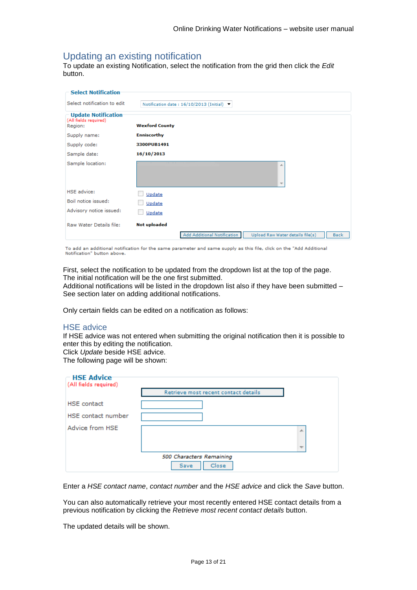# <span id="page-12-0"></span>Updating an existing notification

To update an existing Notification, select the notification from the grid then click the *Edit* button.

| <b>Select Notification</b>                                     |                                                                                |
|----------------------------------------------------------------|--------------------------------------------------------------------------------|
| Select notification to edit                                    | Notification date: 16/10/2013 (Initial) >                                      |
| <b>Update Notification</b><br>(All fields required)<br>Region: | <b>Wexford County</b>                                                          |
| Supply name:                                                   | <b>Enniscorthy</b>                                                             |
| Supply code:                                                   | 3300PUB1491                                                                    |
| Sample date:                                                   | 16/10/2013                                                                     |
| Sample location:                                               | 杰<br>$\overline{\nabla}$                                                       |
| <b>HSE</b> advice:                                             | Update                                                                         |
| Boil notice issued:                                            | Update                                                                         |
| Advisory notice issued:                                        | Update                                                                         |
| Raw Water Details file:                                        | <b>Not uploaded</b>                                                            |
|                                                                | Add Additional Notification<br>Upload Raw Water details file(s)<br><b>Back</b> |

To add an additional notification for the same parameter and same supply as this file, click on the "Add Additional<br>Notification" button above.

First, select the notification to be updated from the dropdown list at the top of the page. The initial notification will be the one first submitted.

Additional notifications will be listed in the dropdown list also if they have been submitted – See section later on adding additional notifications.

Only certain fields can be edited on a notification as follows:

### <span id="page-12-1"></span>HSE advice

If HSE advice was not entered when submitting the original notification then it is possible to enter this by editing the notification.

Click *Update* beside HSE advice.

The following page will be shown:

| <b>HSE Advice</b><br>(All fields required) |                                      |                          |
|--------------------------------------------|--------------------------------------|--------------------------|
|                                            | Retrieve most recent contact details |                          |
| <b>HSE</b> contact                         |                                      |                          |
| HSE contact number                         |                                      |                          |
| Advice from HSE                            |                                      | ∸                        |
|                                            |                                      | $\overline{\phantom{a}}$ |
|                                            | 500 Characters Remaining             |                          |
|                                            | Close<br>Save                        |                          |

Enter a *HSE contact name*, *contact number* and the *HSE advice* and click the *Save* button.

You can also automatically retrieve your most recently entered HSE contact details from a previous notification by clicking the *Retrieve most recent contact details* button.

The updated details will be shown.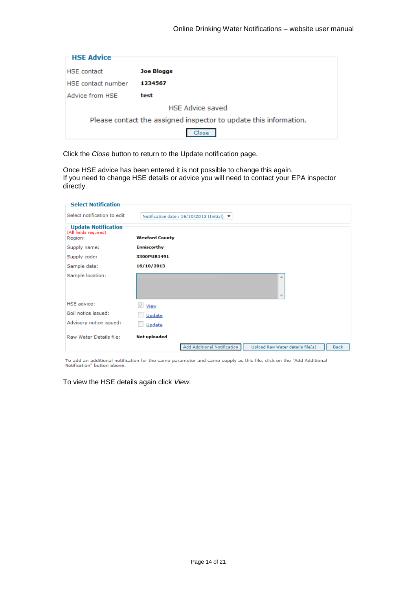| <b>HSE Advice</b>                                                 |                         |
|-------------------------------------------------------------------|-------------------------|
| <b>HSE</b> contact                                                | <b>Joe Bloggs</b>       |
| HSE contact number                                                | 1234567                 |
| Advice from HSE                                                   | test                    |
|                                                                   | <b>HSE Advice saved</b> |
| Please contact the assigned inspector to update this information. |                         |
| Close                                                             |                         |

Click the *Close* button to return to the Update notification page.

Once HSE advice has been entered it is not possible to change this again. If you need to change HSE details or advice you will need to contact your EPA inspector directly.

| <b>Select Notification</b>                                     |                                                                                |
|----------------------------------------------------------------|--------------------------------------------------------------------------------|
| Select notification to edit                                    | Notification date: 16/10/2013 (Initial)                                        |
| <b>Update Notification</b><br>(All fields required)<br>Region: | <b>Wexford County</b>                                                          |
| Supply name:                                                   | <b>Enniscorthy</b>                                                             |
| Supply code:                                                   | 3300PUB1491                                                                    |
| Sample date:                                                   | 16/10/2013                                                                     |
| Sample location:                                               | A<br>$\overline{\nabla}$                                                       |
| <b>HSE</b> advice:                                             | View                                                                           |
| Boil notice issued:                                            | Update                                                                         |
| Advisory notice issued:                                        | Update                                                                         |
| Raw Water Details file:                                        | <b>Not uploaded</b>                                                            |
|                                                                | Add Additional Notification<br>Upload Raw Water details file(s)<br><b>Back</b> |

To add an additional notification for the same parameter and same supply as this file, click on the "Add Additional<br>Notification" button above.

To view the HSE details again click *View*.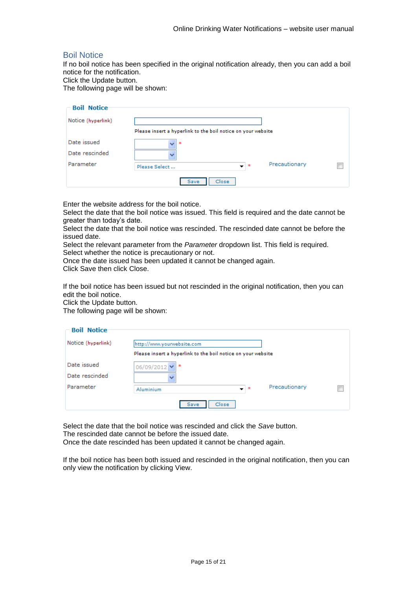## <span id="page-14-0"></span>Boil Notice

If no boil notice has been specified in the original notification already, then you can add a boil notice for the notification.

Click the Update button.

The following page will be shown:

| <b>Boil Notice</b> |                                                              |  |
|--------------------|--------------------------------------------------------------|--|
| Notice (hyperlink) |                                                              |  |
|                    | Please insert a hyperlink to the boil notice on your website |  |
| Date issued        | $\overline{\mathbf{v}}$<br>$\ast$                            |  |
| Date rescinded     | $\checkmark$                                                 |  |
| Parameter          | Precautionary<br>– I≉<br>Please Select                       |  |
|                    | Close<br><b>Save</b>                                         |  |

Enter the website address for the boil notice.

Select the date that the boil notice was issued. This field is required and the date cannot be greater than today's date.

Select the date that the boil notice was rescinded. The rescinded date cannot be before the issued date.

Select the relevant parameter from the *Parameter* dropdown list. This field is required. Select whether the notice is precautionary or not.

Once the date issued has been updated it cannot be changed again.

Click Save then click Close.

If the boil notice has been issued but not rescinded in the original notification, then you can edit the boil notice.

Click the Update button.

The following page will be shown:

| <b>Boil Notice</b> |                                                              |  |
|--------------------|--------------------------------------------------------------|--|
| Notice (hyperlink) | http://www.yourwebsite.com                                   |  |
|                    | Please insert a hyperlink to the boil notice on your website |  |
| Date issued        | 06/09/2012 $\blacktriangledown$<br>÷                         |  |
| Date rescinded     |                                                              |  |
| Parameter          | Precautionary<br>$\bullet$ $\bullet$<br>Aluminium            |  |
|                    | Close<br>Save                                                |  |

Select the date that the boil notice was rescinded and click the *Save* button. The rescinded date cannot be before the issued date.

Once the date rescinded has been updated it cannot be changed again.

If the boil notice has been both issued and rescinded in the original notification, then you can only view the notification by clicking View.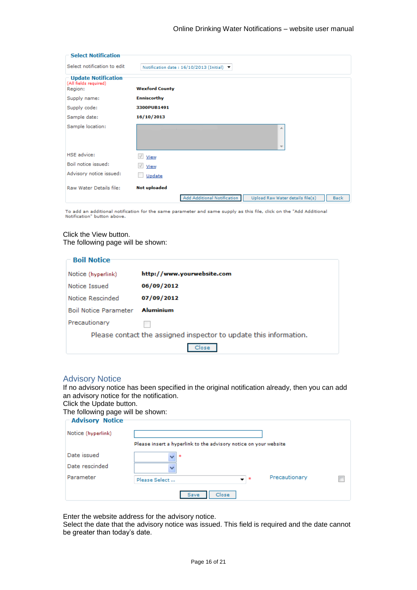| <b>Select Notification</b>                                     |                                                                                                       |
|----------------------------------------------------------------|-------------------------------------------------------------------------------------------------------|
| Select notification to edit                                    | Notification date: 16/10/2013 (Initial)                                                               |
| <b>Update Notification</b><br>(All fields required)<br>Region: | <b>Wexford County</b>                                                                                 |
| Supply name:                                                   | <b>Enniscorthy</b>                                                                                    |
| Supply code:                                                   | 3300PUB1491                                                                                           |
| Sample date:                                                   | 16/10/2013                                                                                            |
| Sample location:                                               | ∸<br>$\overline{\phantom{a}}$                                                                         |
| <b>HSE</b> advice:                                             | $\sqrt{}$<br>View                                                                                     |
| Boil notice issued:                                            | View                                                                                                  |
| Advisory notice issued:                                        | Update                                                                                                |
| Raw Water Details file:                                        | <b>Not uploaded</b><br>Add Additional Notification<br>Upload Raw Water details file(s)<br><b>Back</b> |

To add an additional notification for the same parameter and same supply as this file, click on the "Add Additional<br>Notification" button above.

#### Click the View button. The following page will be shown:

| <b>Boil Notice</b>                                                |                            |
|-------------------------------------------------------------------|----------------------------|
| Notice (hyperlink)                                                | http://www.yourwebsite.com |
| Notice Issued                                                     | 06/09/2012                 |
| Notice Rescinded                                                  | 07/09/2012                 |
| <b>Boil Notice Parameter</b>                                      | <b>Aluminium</b>           |
| Precautionary                                                     |                            |
| Please contact the assigned inspector to update this information. |                            |
| Close                                                             |                            |

### <span id="page-15-0"></span>Advisory Notice

If no advisory notice has been specified in the original notification already, then you can add an advisory notice for the notification.

Click the Update button.

The following page will be shown:

| <b>Advisory Notice</b> |                                                                  |  |
|------------------------|------------------------------------------------------------------|--|
| Notice (hyperlink)     |                                                                  |  |
|                        | Please insert a hyperlink to the advisory notice on your website |  |
| Date issued            | $\overline{\mathbf{v}}$<br>*                                     |  |
| Date rescinded         | v                                                                |  |
| Parameter              | Precautionary<br>– I*<br>Please Select                           |  |
|                        | Close<br>Save                                                    |  |

Enter the website address for the advisory notice.

Select the date that the advisory notice was issued. This field is required and the date cannot be greater than today's date.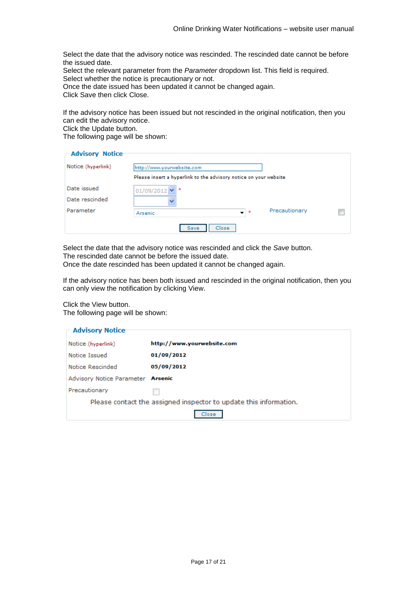Select the date that the advisory notice was rescinded. The rescinded date cannot be before the issued date.

Select the relevant parameter from the *Parameter* dropdown list. This field is required. Select whether the notice is precautionary or not.

Once the date issued has been updated it cannot be changed again.

Click Save then click Close.

If the advisory notice has been issued but not rescinded in the original notification, then you can edit the advisory notice.

Click the Update button.

The following page will be shown:

| <b>Advisory Notice</b> |                                                                     |  |
|------------------------|---------------------------------------------------------------------|--|
| Notice (hyperlink)     | http://www.yourwebsite.com                                          |  |
|                        | Please insert a hyperlink to the advisory notice on your website    |  |
| Date issued            | 01/09/2012 ₩<br>∗                                                   |  |
| Date rescinded         |                                                                     |  |
| Parameter              | Precautionary<br>$\pm$ $\pm$<br>$\overline{\phantom{a}}$<br>Arsenic |  |
|                        | Close<br>Save                                                       |  |

Select the date that the advisory notice was rescinded and click the *Save* button. The rescinded date cannot be before the issued date.

Once the date rescinded has been updated it cannot be changed again.

If the advisory notice has been both issued and rescinded in the original notification, then you can only view the notification by clicking View.

Click the View button.

The following page will be shown:

| <b>Advisory Notice</b>                                            |                            |
|-------------------------------------------------------------------|----------------------------|
| Notice (hyperlink)                                                | http://www.yourwebsite.com |
| Notice Issued                                                     | 01/09/2012                 |
| Notice Rescinded                                                  | 05/09/2012                 |
| Advisory Notice Parameter <b>Arsenic</b>                          |                            |
| Precautionary                                                     |                            |
| Please contact the assigned inspector to update this information. |                            |
|                                                                   | lose                       |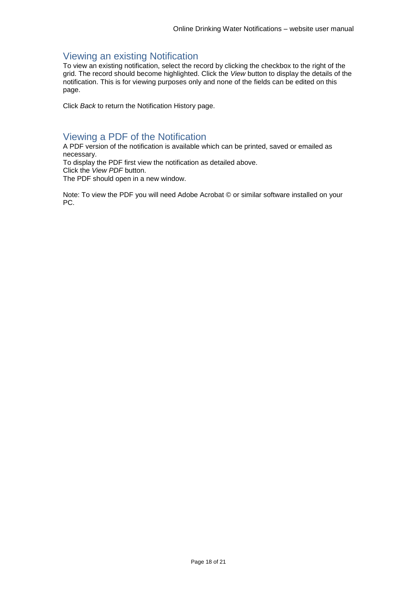# <span id="page-17-0"></span>Viewing an existing Notification

To view an existing notification, select the record by clicking the checkbox to the right of the grid. The record should become highlighted. Click the *View* button to display the details of the notification. This is for viewing purposes only and none of the fields can be edited on this page.

Click *Back* to return the Notification History page.

# <span id="page-17-1"></span>Viewing a PDF of the Notification

A PDF version of the notification is available which can be printed, saved or emailed as necessary.

To display the PDF first view the notification as detailed above. Click the *View PDF* button.

The PDF should open in a new window.

Note: To view the PDF you will need Adobe Acrobat © or similar software installed on your PC.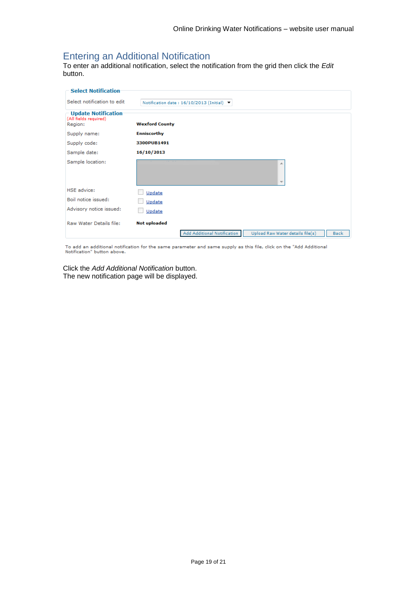# <span id="page-18-0"></span>Entering an Additional Notification

To enter an additional notification, select the notification from the grid then click the *Edit* button.

| <b>Select Notification</b>                                     |                                                                                |
|----------------------------------------------------------------|--------------------------------------------------------------------------------|
| Select notification to edit                                    | Notification date: 16/10/2013 (Initial)                                        |
| <b>Update Notification</b><br>(All fields required)<br>Region: | <b>Wexford County</b>                                                          |
| Supply name:                                                   | <b>Enniscorthy</b>                                                             |
| Supply code:                                                   | 3300PUB1491                                                                    |
| Sample date:                                                   | 16/10/2013                                                                     |
| Sample location:                                               | 业<br>$\overline{\phantom{a}}$                                                  |
| <b>HSE</b> advice:                                             | Update                                                                         |
| Boil notice issued:                                            | Update                                                                         |
| Advisory notice issued:                                        | Update                                                                         |
| Raw Water Details file:                                        | <b>Not uploaded</b>                                                            |
|                                                                | Add Additional Notification<br>Upload Raw Water details file(s)<br><b>Back</b> |

To add an additional notification for the same parameter and same supply as this file, click on the "Add Additional<br>Notification" button above.

Click the *Add Additional Notification* button. The new notification page will be displayed.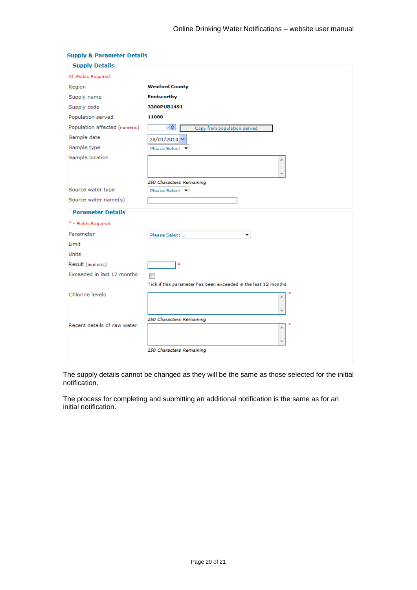| <b>Supply Details</b>         |                                                                |
|-------------------------------|----------------------------------------------------------------|
| All Fields Required           |                                                                |
| Region                        | <b>Wexford County</b>                                          |
| Supply name                   | <b>Enniscorthy</b>                                             |
| Supply code                   | 3300PUB1491                                                    |
| Population served             | 11000                                                          |
| Population affected (numeric) | 이슈<br>Copy from population served                              |
| Sample date                   | 28/01/2014 V                                                   |
| Sample type                   | Please Select ▼                                                |
| Sample location               |                                                                |
|                               | 250 Characters Remaining                                       |
| Source water type             | Please Select T                                                |
| Source water name(s)          |                                                                |
| <b>Parameter Details</b>      |                                                                |
| * - Fields Required           |                                                                |
| Parameter                     | Please Select                                                  |
| Limit                         |                                                                |
| Units                         |                                                                |
| Result (numeric)              | $\ast$                                                         |
| Exceeded in last 12 months    |                                                                |
|                               | Tick if this parameter has been exceeded in the last 12 months |
| Chlorine levels               |                                                                |
| Recent details of raw water   | 250 Characters Remaining                                       |
|                               | ∸                                                              |
|                               | 250 Characters Remaining                                       |

#### **Supply & Parameter Details**

The supply details cannot be changed as they will be the same as those selected for the initial notification.

The process for completing and submitting an additional notification is the same as for an initial notification.